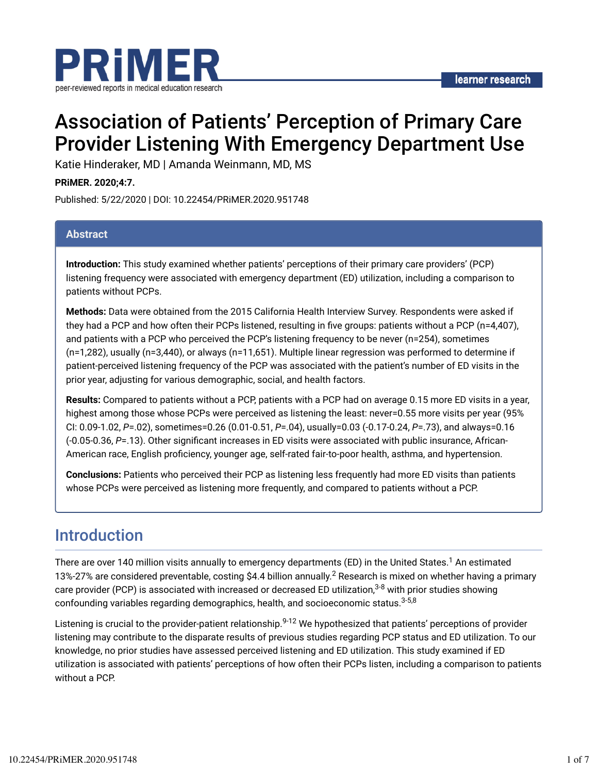

# Association of Patients' Perception of Primary Care Provider Listening With Emergency Department Use

Katie Hinderaker, MD | Amanda Weinmann, MD, MS

**PRiMER. 2020;4:7.**

Published: 5/22/2020 | DOI: 10.22454/PRiMER.2020.951748

#### **Abstract**

**Introduction:** This study examined whether patients' perceptions of their primary care providers' (PCP) listening frequency were associated with emergency department (ED) utilization, including a comparison to patients without PCPs.

**Methods:** Data were obtained from the 2015 California Health Interview Survey. Respondents were asked if they had a PCP and how often their PCPs listened, resulting in five groups: patients without a PCP (n=4,407), and patients with a PCP who perceived the PCP's listening frequency to be never (n=254), sometimes (n=1,282), usually (n=3,440), or always (n=11,651). Multiple linear regression was performed to determine if patient-perceived listening frequency of the PCP was associated with the patient's number of ED visits in the prior year, adjusting for various demographic, social, and health factors.

**Results:** Compared to patients without a PCP, patients with a PCP had on average 0.15 more ED visits in a year, highest among those whose PCPs were perceived as listening the least: never=0.55 more visits per year (95% CI: 0.09-1.02, *P*=.02), sometimes=0.26 (0.01-0.51, *P*=.04), usually=0.03 (-0.17-0.24, *P*=.73), and always=0.16 (-0.05-0.36, P=.13). Other significant increases in ED visits were associated with public insurance, African-American race, English proficiency, younger age, self-rated fair-to-poor health, asthma, and hypertension.

**Conclusions:** Patients who perceived their PCP as listening less frequently had more ED visits than patients whose PCPs were perceived as listening more frequently, and compared to patients without a PCP.

## Introduction

There are over 140 million visits annually to emergency departments (ED) in the United States.<sup>1</sup> An estimated 13%-27% are considered preventable, costing \$4.4 billion annually.<sup>2</sup> Research is mixed on whether having a primary care provider (PCP) is associated with increased or decreased ED utilization, $^{3\text{-}8}$  with prior studies showing confounding variables regarding demographics, health, and socioeconomic status. 3-5,8

Listening is crucial to the provider-patient relationship.<sup>9-12</sup> We hypothesized that patients' perceptions of provider listening may contribute to the disparate results of previous studies regarding PCP status and ED utilization. To our knowledge, no prior studies have assessed perceived listening and ED utilization. This study examined if ED utilization is associated with patients' perceptions of how often their PCPs listen, including a comparison to patients without a PCP.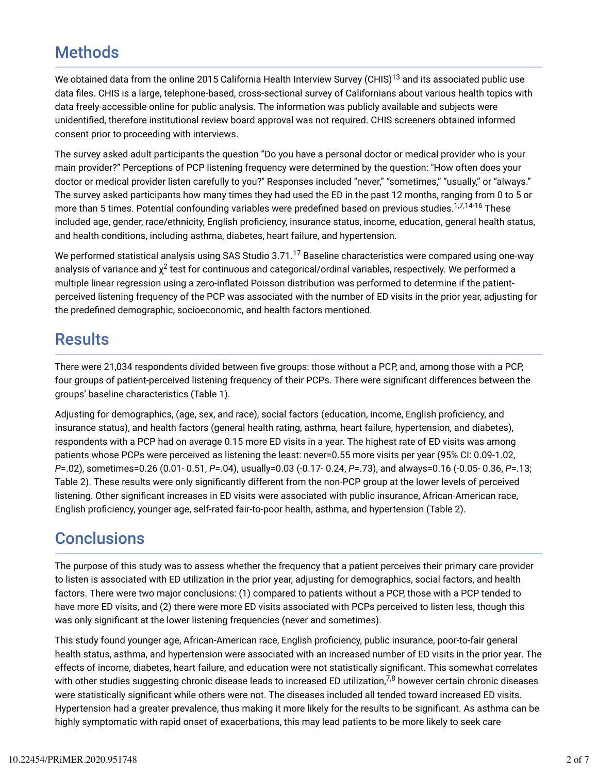## **Methods**

We obtained data from the online 2015 California Health Interview Survey (CHIS) $^{\rm 13}$  and its associated public use data Yles. CHIS is a large, telephone-based, cross-sectional survey of Californians about various health topics with data freely-accessible online for public analysis. The information was publicly available and subjects were unidentified, therefore institutional review board approval was not required. CHIS screeners obtained informed consent prior to proceeding with interviews.

The survey asked adult participants the question "Do you have a personal doctor or medical provider who is your main provider?" Perceptions of PCP listening frequency were determined by the question: "How often does your doctor or medical provider listen carefully to you?" Responses included "never," "sometimes," "usually," or "always." The survey asked participants how many times they had used the ED in the past 12 months, ranging from 0 to 5 or more than 5 times. Potential confounding variables were predefined based on previous studies.<sup>1,7,14-16</sup> These included age, gender, race/ethnicity, English proficiency, insurance status, income, education, general health status, and health conditions, including asthma, diabetes, heart failure, and hypertension.

We performed statistical analysis using SAS Studio 3.71. $^{17}$  Baseline characteristics were compared using one-way analysis of variance and  $\chi^2$  test for continuous and categorical/ordinal variables, respectively. We performed a multiple linear regression using a zero-inflated Poisson distribution was performed to determine if the patientperceived listening frequency of the PCP was associated with the number of ED visits in the prior year, adjusting for the predefined demographic, socioeconomic, and health factors mentioned.

## **Results**

There were 21,034 respondents divided between five groups: those without a PCP, and, among those with a PCP, four groups of patient-perceived listening frequency of their PCPs. There were significant differences between the groups' baseline characteristics (Table 1).

Adjusting for demographics, (age, sex, and race), social factors (education, income, English proficiency, and insurance status), and health factors (general health rating, asthma, heart failure, hypertension, and diabetes), respondents with a PCP had on average 0.15 more ED visits in a year. The highest rate of ED visits was among patients whose PCPs were perceived as listening the least: never=0.55 more visits per year (95% CI: 0.09-1.02, *P*=.02), sometimes=0.26 (0.01- 0.51, *P*=.04), usually=0.03 (-0.17- 0.24, *P*=.73), and always=0.16 (-0.05- 0.36, *P*=.13; Table 2). These results were only significantly different from the non-PCP group at the lower levels of perceived listening. Other significant increases in ED visits were associated with public insurance, African-American race, English proficiency, younger age, self-rated fair-to-poor health, asthma, and hypertension (Table 2).

## **Conclusions**

The purpose of this study was to assess whether the frequency that a patient perceives their primary care provider to listen is associated with ED utilization in the prior year, adjusting for demographics, social factors, and health factors. There were two major conclusions: (1) compared to patients without a PCP, those with a PCP tended to have more ED visits, and (2) there were more ED visits associated with PCPs perceived to listen less, though this was only significant at the lower listening frequencies (never and sometimes).

This study found younger age, African-American race, English proficiency, public insurance, poor-to-fair general health status, asthma, and hypertension were associated with an increased number of ED visits in the prior year. The effects of income, diabetes, heart failure, and education were not statistically significant. This somewhat correlates with other studies suggesting chronic disease leads to increased ED utilization,<sup>7,8</sup> however certain chronic diseases were statistically significant while others were not. The diseases included all tended toward increased ED visits. Hypertension had a greater prevalence, thus making it more likely for the results to be significant. As asthma can be highly symptomatic with rapid onset of exacerbations, this may lead patients to be more likely to seek care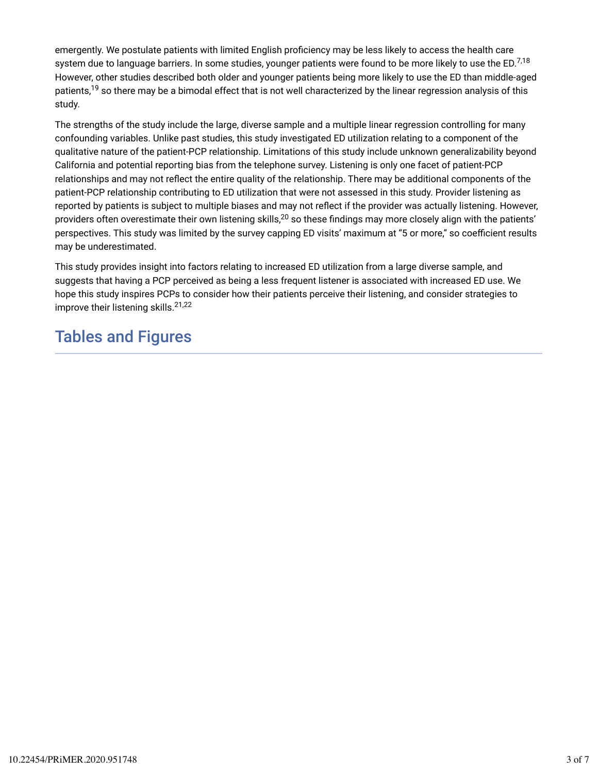emergently. We postulate patients with limited English proficiency may be less likely to access the health care system due to language barriers. In some studies, younger patients were found to be more likely to use the ED.<sup>7,18</sup> However, other studies described both older and younger patients being more likely to use the ED than middle-aged patients,<sup>19</sup> so there may be a bimodal effect that is not well characterized by the linear regression analysis of this study.

The strengths of the study include the large, diverse sample and a multiple linear regression controlling for many confounding variables. Unlike past studies, this study investigated ED utilization relating to a component of the qualitative nature of the patient-PCP relationship. Limitations of this study include unknown generalizability beyond California and potential reporting bias from the telephone survey. Listening is only one facet of patient-PCP relationships and may not reiect the entire quality of the relationship. There may be additional components of the patient-PCP relationship contributing to ED utilization that were not assessed in this study. Provider listening as reported by patients is subject to multiple biases and may not reflect if the provider was actually listening. However, providers often overestimate their own listening skills, $^{20}$  so these findings may more closely align with the patients' perspectives. This study was limited by the survey capping ED visits' maximum at "5 or more," so coefficient results may be underestimated.

This study provides insight into factors relating to increased ED utilization from a large diverse sample, and suggests that having a PCP perceived as being a less frequent listener is associated with increased ED use. We hope this study inspires PCPs to consider how their patients perceive their listening, and consider strategies to improve their listening skills. 21,22

## Tables and Figures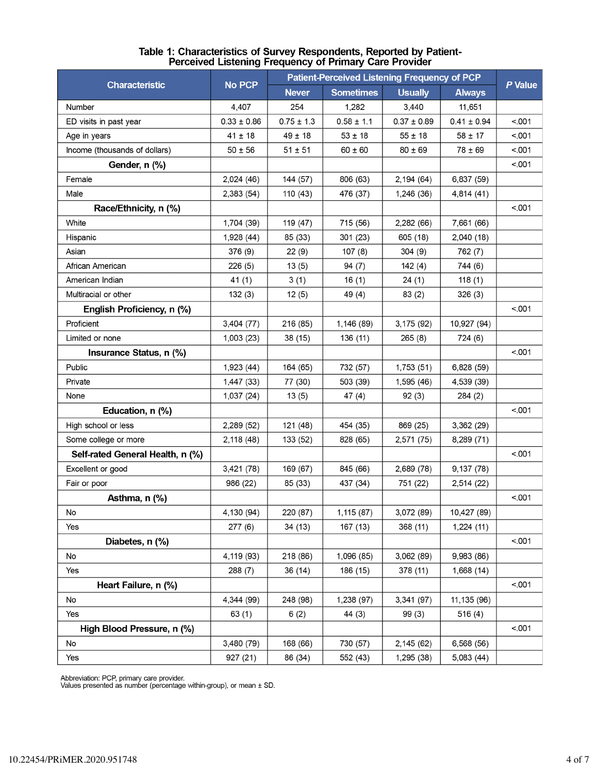# Table 1: Characteristics of Survey Respondents, Reported by Patient-<br>Perceived Listening Frequency of Primary Care Provider

| <b>Characteristic</b>            | <b>No PCP</b>   | <b>Patient-Perceived Listening Frequency of PCP</b> |                  | P Value         |                 |        |
|----------------------------------|-----------------|-----------------------------------------------------|------------------|-----------------|-----------------|--------|
|                                  |                 | <b>Never</b>                                        | <b>Sometimes</b> | <b>Usually</b>  | <b>Always</b>   |        |
| Number                           | 4,407           | 254                                                 | 1,282            | 3,440           | 11,651          |        |
| ED visits in past year           | $0.33 \pm 0.86$ | $0.75 \pm 1.3$                                      | $0.58 \pm 1.1$   | $0.37 \pm 0.89$ | $0.41 \pm 0.94$ | < 0.01 |
| Age in years                     | $41 \pm 18$     | $49 \pm 18$                                         | $53 \pm 18$      | $55 \pm 18$     | $58 \pm 17$     | < 001  |
| Income (thousands of dollars)    | $50 \pm 56$     | $51 \pm 51$                                         | $60 \pm 60$      | $80 \pm 69$     | $78 \pm 69$     | < 001  |
| Gender, n (%)                    |                 |                                                     |                  |                 |                 | < 001  |
| Female                           | 2,024 (46)      | 144 (57)                                            | 806 (63)         | 2,194(64)       | 6,837 (59)      |        |
| Male                             | 2,383 (54)      | 110 (43)                                            | 476 (37)         | 1,246 (36)      | 4,814(41)       |        |
| Race/Ethnicity, n (%)            |                 |                                                     |                  |                 |                 | < .001 |
| White                            | 1,704 (39)      | 119 (47)                                            | 715 (56)         | 2,282 (66)      | 7,661 (66)      |        |
| Hispanic                         | 1,928 (44)      | 85 (33)                                             | 301 (23)         | 605 (18)        | 2,040(18)       |        |
| Asian                            | 376 (9)         | 22(9)                                               | 107(8)           | 304(9)          | 762 (7)         |        |
| African American                 | 226(5)          | 13(5)                                               | 94(7)            | 142(4)          | 744 (6)         |        |
| American Indian                  | 41(1)           | 3(1)                                                | 16(1)            | 24(1)           | 118(1)          |        |
| Multiracial or other             | 132(3)          | 12(5)                                               | 49 (4)           | 83(2)           | 326(3)          |        |
| English Proficiency, n (%)       |                 |                                                     |                  |                 |                 | < 001  |
| Proficient                       | 3,404 (77)      | 216 (85)                                            | 1,146 (89)       | 3,175 (92)      | 10,927 (94)     |        |
| Limited or none                  | 1,003(23)       | 38 (15)                                             | 136 (11)         | 265(8)          | 724 (6)         |        |
| Insurance Status, n (%)          |                 |                                                     |                  |                 |                 | < 001  |
| Public                           | 1,923 (44)      | 164 (65)                                            | 732 (57)         | 1,753(51)       | 6,828(59)       |        |
| Private                          | 1,447 (33)      | 77 (30)                                             | 503 (39)         | 1,595 (46)      | 4,539 (39)      |        |
| None                             | 1,037 (24)      | 13(5)                                               | 47(4)            | 92(3)           | 284 (2)         |        |
| Education, n (%)                 |                 |                                                     |                  |                 |                 | < 001  |
| High school or less              | 2,289 (52)      | 121 (48)                                            | 454 (35)         | 869 (25)        | 3,362(29)       |        |
| Some college or more             | 2,118 (48)      | 133 (52)                                            | 828 (65)         | 2,571 (75)      | 8,289 (71)      |        |
| Self-rated General Health, n (%) |                 |                                                     |                  |                 |                 | < 001  |
| Excellent or good                | 3,421(78)       | 169 (67)                                            | 845 (66)         | 2,689 (78)      | 9,137(78)       |        |
| Fair or poor                     | 986 (22)        | 85 (33)                                             | 437 (34)         | 751 (22)        | 2,514 (22)      |        |
| Asthma, n (%)                    |                 |                                                     |                  |                 |                 | < 001  |
| No                               | 4,130 (94)      | 220 (87)                                            | 1,115 (87)       | 3,072 (89)      | 10,427 (89)     |        |
| Yes                              | 277(6)          | 34 (13)                                             | 167 (13)         | 368 (11)        | 1,224(11)       |        |
| Diabetes, n (%)                  |                 |                                                     |                  |                 |                 | < 001  |
| No                               | 4,119 (93)      | 218 (86)                                            | 1,096 (85)       | 3,062 (89)      | 9,983 (86)      |        |
| Yes                              | 288(7)          | 36 (14)                                             | 186 (15)         | 378 (11)        | 1,668(14)       |        |
| Heart Failure, n (%)             |                 |                                                     |                  |                 |                 | < 001  |
| No                               | 4,344 (99)      | 248 (98)                                            | 1,238 (97)       | 3,341 (97)      | 11,135 (96)     |        |
| Yes                              | 63(1)           | 6(2)                                                | 44 (3)           | 99 (3)          | 516 (4)         |        |
| High Blood Pressure, n (%)       |                 |                                                     |                  |                 |                 | < 001  |
| No                               | 3,480 (79)      | 168 (66)                                            | 730 (57)         | 2,145 (62)      | 6,568 (56)      |        |
| Yes                              | 927 (21)        | 86 (34)                                             | 552 (43)         | 1,295 (38)      | 5,083 (44)      |        |

Abbreviation: PCP, primary care provider.<br>Values presented as number (percentage within-group), or mean ± SD.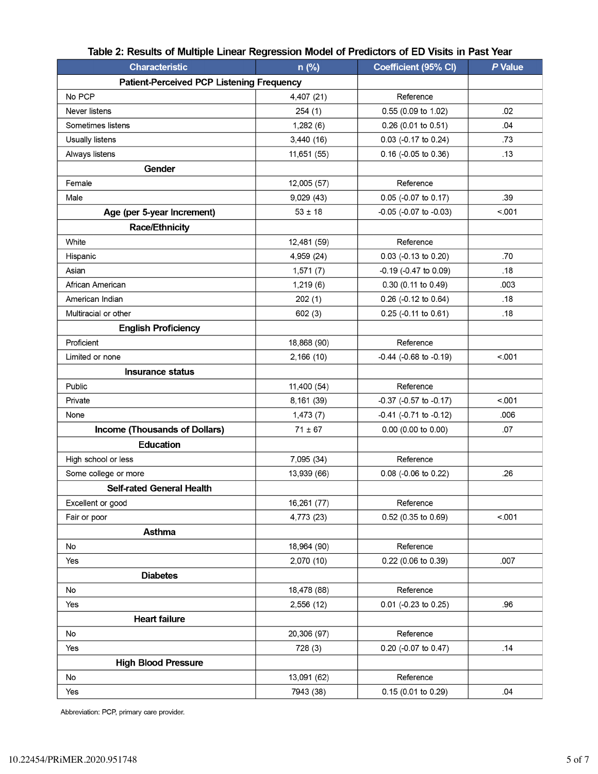| <b>Characteristic</b>                            | $n$ (%)     | Coefficient (95% CI)           | P Value |
|--------------------------------------------------|-------------|--------------------------------|---------|
| <b>Patient-Perceived PCP Listening Frequency</b> |             |                                |         |
| No PCP                                           | 4,407 (21)  | Reference                      |         |
| Never listens                                    | 254(1)      | 0.55 (0.09 to 1.02)            | .02     |
| Sometimes listens                                | 1,282(6)    | 0.26 (0.01 to 0.51)            | .04     |
| Usually listens                                  | 3,440 (16)  | 0.03 (-0.17 to 0.24)           | .73     |
| Always listens                                   | 11,651 (55) | 0.16 (-0.05 to 0.36)           | .13     |
| Gender                                           |             |                                |         |
| Female                                           | 12,005 (57) | Reference                      |         |
| Male                                             | 9,029 (43)  | 0.05 (-0.07 to 0.17)           | .39     |
| Age (per 5-year Increment)                       | $53 \pm 18$ | -0.05 (-0.07 to -0.03)         | < 001   |
| <b>Race/Ethnicity</b>                            |             |                                |         |
| White                                            | 12,481 (59) | Reference                      |         |
| Hispanic                                         | 4,959 (24)  | 0.03 (-0.13 to 0.20)           | .70     |
| Asian                                            | 1,571(7)    | -0.19 (-0.47 to 0.09)          | .18     |
| African American                                 | 1,219(6)    | 0.30 (0.11 to 0.49)            | .003    |
| American Indian                                  | 202(1)      | 0.26 (-0.12 to 0.64)           | .18     |
| Multiracial or other                             | 602(3)      | 0.25 (-0.11 to 0.61)           | .18     |
| <b>English Proficiency</b>                       |             |                                |         |
| Proficient                                       | 18,868 (90) | Reference                      |         |
| Limited or none                                  | 2,166(10)   | $-0.44$ ( $-0.68$ to $-0.19$ ) | < .001  |
| <b>Insurance status</b>                          |             |                                |         |
| Public                                           | 11,400 (54) | Reference                      |         |
| Private                                          | 8,161 (39)  | -0.37 (-0.57 to -0.17)         | < .001  |
| None                                             | 1,473(7)    | -0.41 (-0.71 to -0.12)         | .006    |
| Income (Thousands of Dollars)                    | $71 \pm 67$ | 0.00 (0.00 to 0.00)            | .07     |
| <b>Education</b>                                 |             |                                |         |
| High school or less                              | 7,095 (34)  | Reference                      |         |
| Some college or more                             | 13,939 (66) | 0.08 (-0.06 to 0.22)           | .26     |
| <b>Self-rated General Health</b>                 |             |                                |         |
| Excellent or good                                | 16,261 (77) | Reference                      |         |
| Fair or poor                                     | 4,773 (23)  | 0.52 (0.35 to 0.69)            | < .001  |
| Asthma                                           |             |                                |         |
| No                                               | 18,964 (90) | Reference                      |         |
| Yes                                              | 2,070 (10)  | 0.22 (0.06 to 0.39)            | .007    |
| <b>Diabetes</b>                                  |             |                                |         |
| No                                               | 18,478 (88) | Reference                      |         |
| Yes                                              | 2,556 (12)  | 0.01 (-0.23 to 0.25)           | .96     |
| <b>Heart failure</b>                             |             |                                |         |
| No                                               | 20,306 (97) | Reference                      |         |
| Yes                                              | 728 (3)     | 0.20 (-0.07 to 0.47)           | .14     |
| <b>High Blood Pressure</b>                       |             |                                |         |
| No                                               | 13,091 (62) | Reference                      |         |
| Yes                                              | 7943 (38)   | 0.15 (0.01 to 0.29)            | .04     |

### Table 2: Results of Multiple Linear Regression Model of Predictors of ED Visits in Past Year

Abbreviation: PCP, primary care provider.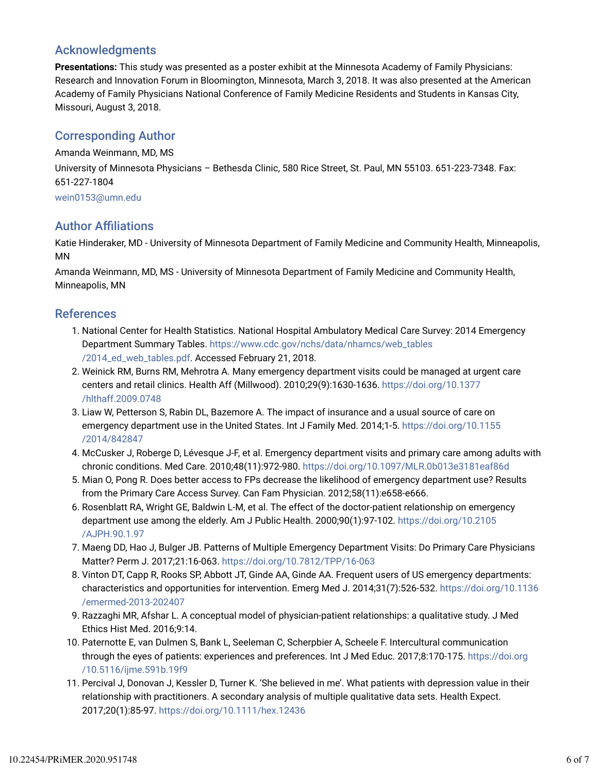### Acknowledgments

**Presentations:** This study was presented as a poster exhibit at the Minnesota Academy of Family Physicians: Research and Innovation Forum in Bloomington, Minnesota, March 3, 2018. It was also presented at the American Academy of Family Physicians National Conference of Family Medicine Residents and Students in Kansas City, Missouri, August 3, 2018.

### Corresponding Author

Amanda Weinmann, MD, MS

University of Minnesota Physicians – Bethesda Clinic, 580 Rice Street, St. Paul, MN 55103. 651-223-7348. Fax: 651-227-1804

wein0153@umn.edu

### **Author Affiliations**

Katie Hinderaker, MD - University of Minnesota Department of Family Medicine and Community Health, Minneapolis, MN

Amanda Weinmann, MD, MS - University of Minnesota Department of Family Medicine and Community Health, Minneapolis, MN

#### References

- 1. National Center for Health Statistics. National Hospital Ambulatory Medical Care Survey: 2014 Emergency Department Summary Tables. https://www.cdc.gov/nchs/data/nhamcs/web\_tables /2014\_ed\_web\_tables.pdf. Accessed February 21, 2018.
- 2. Weinick RM, Burns RM, Mehrotra A. Many emergency department visits could be managed at urgent care centers and retail clinics. Health Aff (Millwood). 2010;29(9):1630-1636. https://doi.org/10.1377 /hlthaff.2009.0748
- 3. Liaw W, Petterson S, Rabin DL, Bazemore A. The impact of insurance and a usual source of care on emergency department use in the United States. Int J Family Med. 2014;1-5. https://doi.org/10.1155 /2014/842847
- 4. McCusker J, Roberge D, Lévesque J-F, et al. Emergency department visits and primary care among adults with chronic conditions. Med Care. 2010;48(11):972-980. https://doi.org/10.1097/MLR.0b013e3181eaf86d
- 5. Mian O, Pong R. Does better access to FPs decrease the likelihood of emergency department use? Results from the Primary Care Access Survey. Can Fam Physician. 2012;58(11):e658-e666.
- 6. Rosenblatt RA, Wright GE, Baldwin L-M, et al. The effect of the doctor-patient relationship on emergency department use among the elderly. Am J Public Health. 2000;90(1):97-102. https://doi.org/10.2105 /AJPH.90.1.97
- 7. Maeng DD, Hao J, Bulger JB. Patterns of Multiple Emergency Department Visits: Do Primary Care Physicians Matter? Perm J. 2017;21:16-063. https://doi.org/10.7812/TPP/16-063
- 8. Vinton DT, Capp R, Rooks SP, Abbott JT, Ginde AA, Ginde AA. Frequent users of US emergency departments: characteristics and opportunities for intervention. Emerg Med J. 2014;31(7):526-532. https://doi.org/10.1136 /emermed-2013-202407
- 9. Razzaghi MR, Afshar L. A conceptual model of physician-patient relationships: a qualitative study. J Med Ethics Hist Med. 2016;9:14.
- 10. Paternotte E, van Dulmen S, Bank L, Seeleman C, Scherpbier A, Scheele F. Intercultural communication through the eyes of patients: experiences and preferences. Int J Med Educ. 2017;8:170-175. https://doi.org /10.5116/ijme.591b.19f9
- 11. Percival J, Donovan J, Kessler D, Turner K. 'She believed in me'. What patients with depression value in their relationship with practitioners. A secondary analysis of multiple qualitative data sets. Health Expect. 2017;20(1):85-97. https://doi.org/10.1111/hex.12436